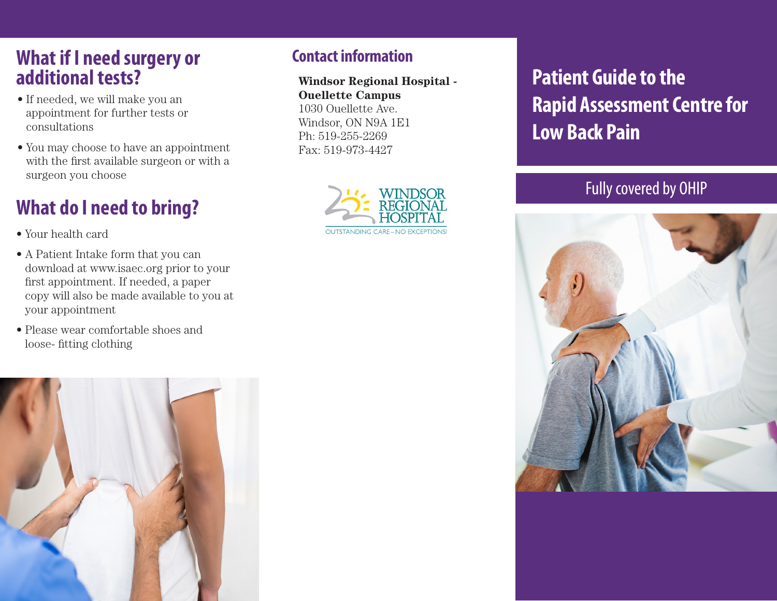### **What if I need surgery or additional tests?**

- If needed, we will make you an appointment for further tests or consultations
- You may choose to have an appointment with the first available surgeon or with a surgeon you choose

## **What do I need to bring?**

• Your health card

- A Patient Intake form that you can download at www.isaec.org prior to your first appointment. If needed, a paper copy will also be made available to you at your appointment
- Please wear comfortable shoes and loose- fitting clothing



#### **Contact information**

**Windsor Regional Hospital - Ouellette Campus** 1030 Ouellette Ave. Windsor, ON N9A 1E1 Ph: 519-255-2269 Fax: 519-973-4427



**Patient Guide to the Rapid Assessment Centre for Low Back Pain**

#### Fully covered by OHIP